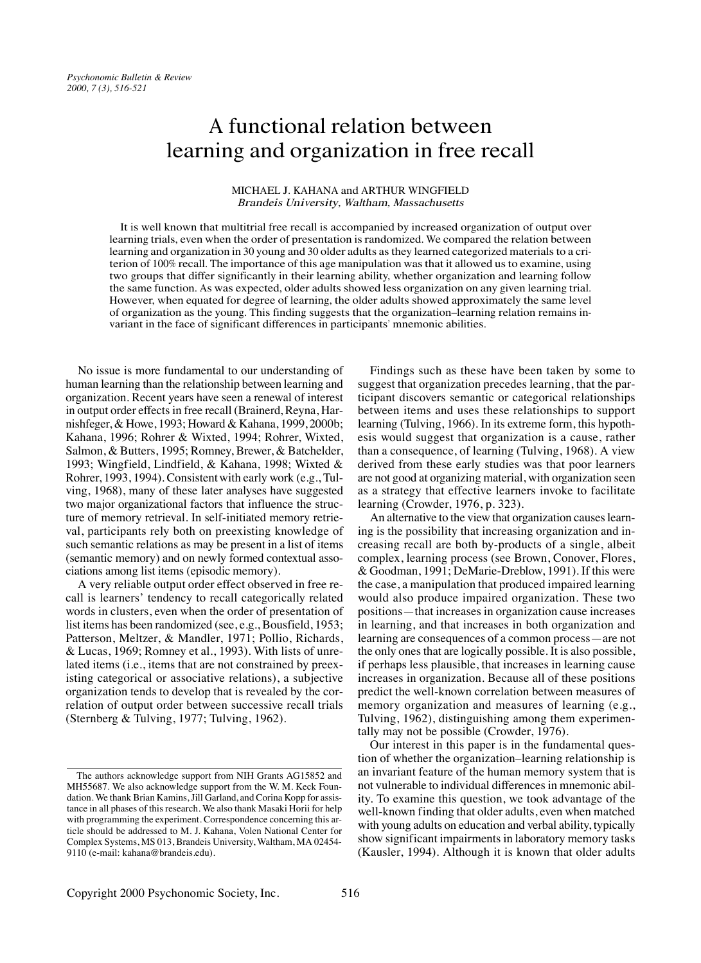# A functional relation between learning and organization in free recall

## MICHAEL J. KAHANA and ARTHUR WINGFIELD Brandeis University, Waltham, Massachusett<sup>s</sup>

It is well known that multitrial free recall is accompanied by increased organization of output over learning trials, even when the order of presentation is randomized. We compared the relation between learning and organization in 30 young and 30 older adults as they learned categorized materials to a criterion of 100% recall. The importance of this age manipulation was that it allowed us to examine, using two groups that differ significantly in their learning ability, whether organization and learning follow the same function. As was expected, older adults showed less organization on any given learning trial. However, when equated for degree of learning, the older adults showed approximately the same level of organization as the young. This finding suggests that the organization–learning relation remains invariant in the face of significant differences in participants' mnemonic abilities.

No issue is more fundamental to our understanding of human learning than the relationship between learning and organization. Recent years have seen a renewal of interest in output order effects in free recall (Brainerd, Reyna, Harnishfeger, & Howe, 1993; Howard & Kahana, 1999, 2000b; Kahana, 1996; Rohrer & Wixted, 1994; Rohrer, Wixted, Salmon, & Butters, 1995; Romney, Brewer, & Batchelder, 1993; Wingfield, Lindfield, & Kahana, 1998; Wixted & Rohrer, 1993, 1994). Consistent with early work (e.g., Tulving, 1968), many of these later analyses have suggested two major organizational factors that influence the structure of memory retrieval. In self-initiated memory retrieval, participants rely both on preexisting knowledge of such semantic relations as may be present in a list of items (semantic memory) and on newly formed contextual associations among list items (episodic memory).

A very reliable output order effect observed in free recall is learners' tendency to recall categorically related words in clusters, even when the order of presentation of list items has been randomized (see, e.g., Bousfield, 1953; Patterson, Meltzer, & Mandler, 1971; Pollio, Richards, & Lucas, 1969; Romney et al., 1993). With lists of unrelated items (i.e., items that are not constrained by preexisting categorical or associative relations), a subjective organization tends to develop that is revealed by the correlation of output order between successive recall trials (Sternberg & Tulving, 1977; Tulving, 1962).

Findings such as these have been taken by some to suggest that organization precedes learning, that the participant discovers semantic or categorical relationships between items and uses these relationships to support learning (Tulving, 1966). In its extreme form, this hypothesis would suggest that organization is a cause, rather than a consequence, of learning (Tulving, 1968). A view derived from these early studies was that poor learners are not good at organizing material, with organization seen as a strategy that effective learners invoke to facilitate learning (Crowder, 1976, p. 323).

An alternative to the view that organization causes learning is the possibility that increasing organization and increasing recall are both by-products of a single, albeit complex, learning process (see Brown, Conover, Flores, & Goodman, 1991; DeMarie-Dreblow, 1991). If this were the case, a manipulation that produced impaired learning would also produce impaired organization. These two positions—that increases in organization cause increases in learning, and that increases in both organization and learning are consequences of a common process—are not the only ones that are logically possible. It is also possible, if perhaps less plausible, that increases in learning cause increases in organization. Because all of these positions predict the well-known correlation between measures of memory organization and measures of learning (e.g., Tulving, 1962), distinguishing among them experimentally may not be possible (Crowder, 1976).

Our interest in this paper is in the fundamental question of whether the organization–learning relationship is an invariant feature of the human memory system that is not vulnerable to individual differences in mnemonic ability. To examine this question, we took advantage of the well-known finding that older adults, even when matched with young adults on education and verbal ability, typically show significant impairments in laboratory memory tasks (Kausler, 1994). Although it is known that older adults

The authors acknowledge support from NIH Grants AG15852 and MH55687. We also acknowledge support from the W. M. Keck Foundation. We thank Brian Kamins, Jill Garland, and Corina Kopp for assistance in all phases of this research. We also thank Masaki Horii for help with programming the experiment. Correspondence concerning this article should be addressed to M. J. Kahana, Volen National Center for Complex Systems, MS 013, Brandeis University, Waltham, MA 02454- 9110 (e-mail: kahana@brandeis.edu).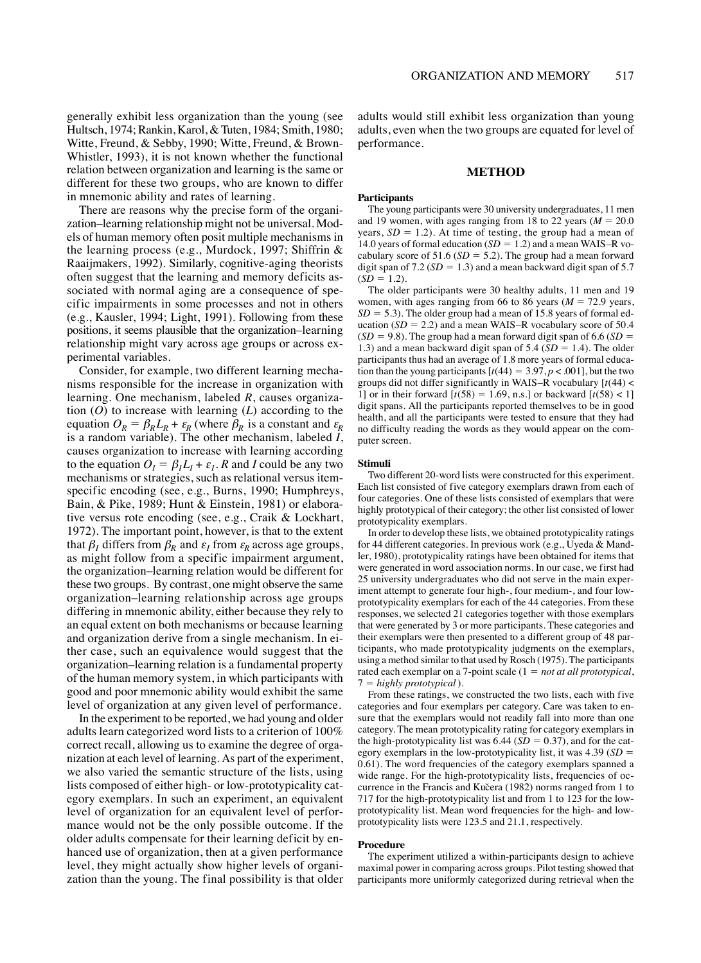generally exhibit less organization than the young (see Hultsch, 1974; Rankin, Karol, & Tuten, 1984; Smith, 1980; Witte, Freund, & Sebby, 1990; Witte, Freund, & Brown-Whistler, 1993), it is not known whether the functional relation between organization and learning is the same or different for these two groups, who are known to differ in mnemonic ability and rates of learning.

There are reasons why the precise form of the organization–learning relationship might not be universal. Models of human memory often posit multiple mechanisms in the learning process (e.g., Murdock, 1997; Shiffrin & Raaijmakers, 1992). Similarly, cognitive-aging theorists often suggest that the learning and memory deficits associated with normal aging are a consequence of specific impairments in some processes and not in others (e.g., Kausler, 1994; Light, 1991). Following from these positions, it seems plausible that the organization–learning relationship might vary across age groups or across experimental variables.

Consider, for example, two different learning mechanisms responsible for the increase in organization with learning. One mechanism, labeled *R*, causes organization (*O*) to increase with learning (*L*) according to the equation  $O_R = \beta_R L_R + \varepsilon_R$  (where  $\beta_R$  is a constant and  $\varepsilon_R$ is a random variable). The other mechanism, labeled *I*, causes organization to increase with learning according to the equation  $O_I = \beta_I L_I + \varepsilon_I$ . *R* and *I* could be any two mechanisms or strategies, such as relational versus itemspecific encoding (see, e.g., Burns, 1990; Humphreys, Bain, & Pike, 1989; Hunt & Einstein, 1981) or elaborative versus rote encoding (see, e.g., Craik & Lockhart, 1972). The important point, however, is that to the extent that  $\beta_I$  differs from  $\beta_R$  and  $\varepsilon_I$  from  $\varepsilon_R$  across age groups, as might follow from a specific impairment argument, the organization–learning relation would be different for these two groups. By contrast, one might observe the same organization–learning relationship across age groups differing in mnemonic ability, either because they rely to an equal extent on both mechanisms or because learning and organization derive from a single mechanism. In either case, such an equivalence would suggest that the organization–learning relation is a fundamental property of the human memory system, in which participants with good and poor mnemonic ability would exhibit the same level of organization at any given level of performance.

In the experiment to be reported, we had young and older adults learn categorized word lists to a criterion of 100% correct recall, allowing us to examine the degree of organization at each level of learning. As part of the experiment, we also varied the semantic structure of the lists, using lists composed of either high- or low-prototypicality category exemplars. In such an experiment, an equivalent level of organization for an equivalent level of performance would not be the only possible outcome. If the older adults compensate for their learning deficit by enhanced use of organization, then at a given performance level, they might actually show higher levels of organization than the young. The final possibility is that older

adults would still exhibit less organization than young adults, even when the two groups are equated for level of performance.

## **METHOD**

#### **Participants**

The young participants were 30 university undergraduates, 11 men and 19 women, with ages ranging from 18 to 22 years  $(M = 20.0$ years,  $SD = 1.2$ ). At time of testing, the group had a mean of 14.0 years of formal education  $(SD = 1.2)$  and a mean WAIS–R vocabulary score of 51.6 ( $SD = 5.2$ ). The group had a mean forward digit span of  $7.2$  ( $SD = 1.3$ ) and a mean backward digit span of  $5.7$  $(SD = 1.2)$ .

The older participants were 30 healthy adults, 11 men and 19 women, with ages ranging from 66 to 86 years  $(M = 72.9$  years,  $SD = 5.3$ ). The older group had a mean of 15.8 years of formal education  $(SD = 2.2)$  and a mean WAIS–R vocabulary score of 50.4  $(SD = 9.8)$ . The group had a mean forward digit span of 6.6 ( $SD = 1$ 1.3) and a mean backward digit span of  $5.4$  ( $SD = 1.4$ ). The older participants thus had an average of 1.8 more years of formal education than the young participants  $[t(44) = 3.97, p < .001]$ , but the two groups did not differ significantly in WAIS–R vocabulary [*t*(44) < 1] or in their forward  $[t(58) = 1.69, n.s.]$  or backward  $[t(58) < 1]$ digit spans. All the participants reported themselves to be in good health, and all the participants were tested to ensure that they had no difficulty reading the words as they would appear on the computer screen.

#### **Stimuli**

Two different 20-word lists were constructed for this experiment. Each list consisted of five category exemplars drawn from each of four categories. One of these lists consisted of exemplars that were highly prototypical of their category; the other list consisted of lower prototypicality exemplars.

In order to develop these lists, we obtained prototypicality ratings for 44 different categories. In previous work (e.g., Uyeda & Mandler, 1980), prototypicality ratings have been obtained for items that were generated in word association norms. In our case, we first had 25 university undergraduates who did not serve in the main experiment attempt to generate four high-, four medium-, and four lowprototypicality exemplars for each of the 44 categories. From these responses, we selected 21 categories together with those exemplars that were generated by 3 or more participants. These categories and their exemplars were then presented to a different group of 48 participants, who made prototypicality judgments on the exemplars, using a method similar to that used by Rosch (1975). The participants rated each exemplar on a 7-point scale (1 = *not at all prototypical*, 7 ! *highly prototypical*).

From these ratings, we constructed the two lists, each with five categories and four exemplars per category. Care was taken to ensure that the exemplars would not readily fall into more than one category. The mean prototypicality rating for category exemplars in the high-prototypicality list was  $6.44$  ( $SD = 0.37$ ), and for the category exemplars in the low-prototypicality list, it was  $4.39$  ( $SD =$ 0.61). The word frequencies of the category exemplars spanned a wide range. For the high-prototypicality lists, frequencies of occurrence in the Francis and Kučera (1982) norms ranged from 1 to 717 for the high-prototypicality list and from 1 to 123 for the lowprototypicality list. Mean word frequencies for the high- and lowprototypicality lists were 123.5 and 21.1, respectively.

#### **Procedure**

The experiment utilized a within-participants design to achieve maximal power in comparing across groups. Pilot testing showed that participants more uniformly categorized during retrieval when the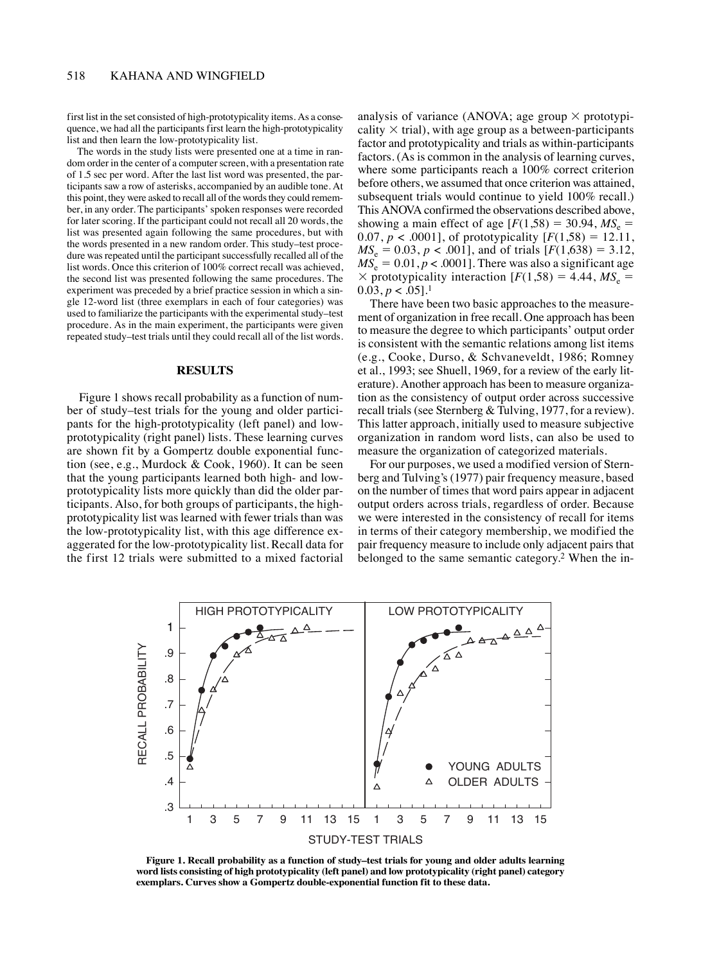first list in the set consisted of high-prototypicality items. As a consequence, we had all the participants first learn the high-prototypicality list and then learn the low-prototypicality list.

The words in the study lists were presented one at a time in random order in the center of a computer screen, with a presentation rate of 1.5 sec per word. After the last list word was presented, the participants saw a row of asterisks, accompanied by an audible tone. At this point, they were asked to recall all of the words they could remember, in any order. The participants' spoken responses were recorded for later scoring. If the participant could not recall all 20 words, the list was presented again following the same procedures, but with the words presented in a new random order. This study–test procedure was repeated until the participant successfully recalled all of the list words. Once this criterion of 100% correct recall was achieved, the second list was presented following the same procedures. The experiment was preceded by a brief practice session in which a single 12-word list (three exemplars in each of four categories) was used to familiarize the participants with the experimental study–test procedure. As in the main experiment, the participants were given repeated study–test trials until they could recall all of the list words.

### **RESULTS**

Figure 1 shows recall probability as a function of number of study–test trials for the young and older participants for the high-prototypicality (left panel) and lowprototypicality (right panel) lists. These learning curves are shown fit by a Gompertz double exponential function (see, e.g., Murdock & Cook, 1960). It can be seen that the young participants learned both high- and lowprototypicality lists more quickly than did the older participants. Also, for both groups of participants, the highprototypicality list was learned with fewer trials than was the low-prototypicality list, with this age difference exaggerated for the low-prototypicality list. Recall data for the first 12 trials were submitted to a mixed factorial

analysis of variance (ANOVA; age group  $\times$  prototypicality  $\times$  trial), with age group as a between-participants factor and prototypicality and trials as within-participants factors. (As is common in the analysis of learning curves, where some participants reach a 100% correct criterion before others, we assumed that once criterion was attained, subsequent trials would continue to yield 100% recall.) This ANOVA confirmed the observations described above, showing a main effect of age  $[F(1,58) = 30.94, MS_e =$ 0.07,  $p < .0001$ ], of prototypicality  $[F(1,58) = 12.11]$ ,  $MS_e = 0.03$ ,  $p < .001$ ], and of trials  $[F(1,638) = 3.12$ ,  $MS_e = 0.01, p < .0001$ . There was also a significant age  $\times$  prototypicality interaction [ $F(1,58) = 4.44$ ,  $MS_e$  =  $0.03, p < .05$ ].<sup>1</sup>

There have been two basic approaches to the measurement of organization in free recall. One approach has been to measure the degree to which participants' output order is consistent with the semantic relations among list items (e.g., Cooke, Durso, & Schvaneveldt, 1986; Romney et al., 1993; see Shuell, 1969, for a review of the early literature). Another approach has been to measure organization as the consistency of output order across successive recall trials (see Sternberg & Tulving, 1977, for a review). This latter approach, initially used to measure subjective organization in random word lists, can also be used to measure the organization of categorized materials.

For our purposes, we used a modified version of Sternberg and Tulving's (1977) pair frequency measure, based on the number of times that word pairs appear in adjacent output orders across trials, regardless of order. Because we were interested in the consistency of recall for items in terms of their category membership, we modified the pair frequency measure to include only adjacent pairs that belonged to the same semantic category.2 When the in-



**Figure 1. Recall probability as a function of study–test trials for young and older adults learning word lists consisting of high prototypicality (left panel) and low prototypicality (right panel) category exemplars. Curves show a Gompertz double-exponential function fit to these data.**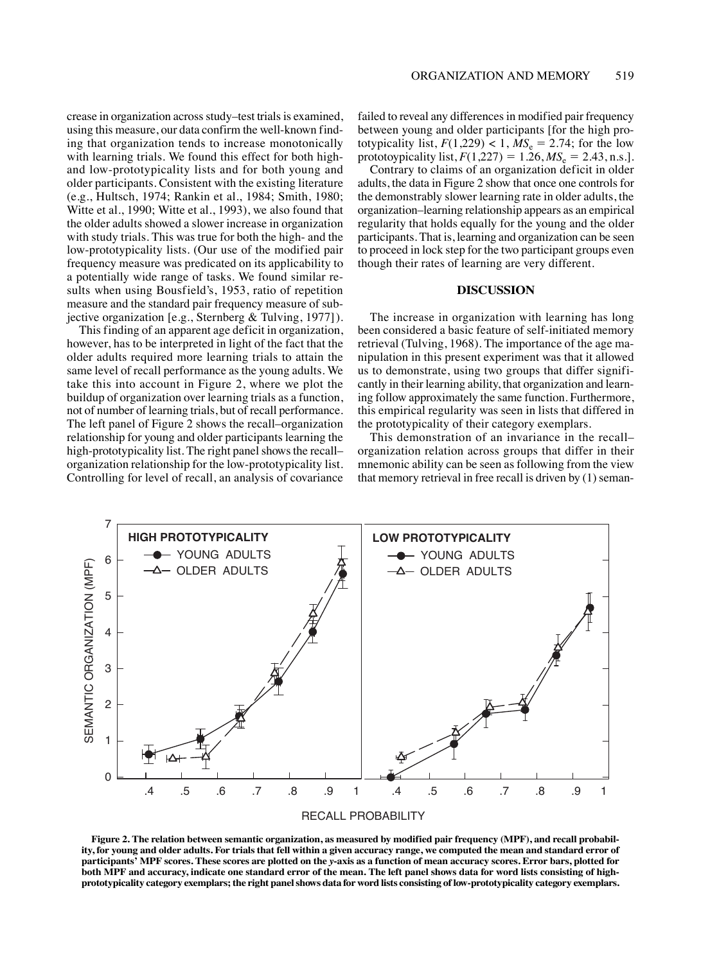crease in organization across study–test trials is examined, using this measure, our data confirm the well-known finding that organization tends to increase monotonically with learning trials. We found this effect for both highand low-prototypicality lists and for both young and older participants. Consistent with the existing literature (e.g., Hultsch, 1974; Rankin et al., 1984; Smith, 1980; Witte et al., 1990; Witte et al., 1993), we also found that the older adults showed a slower increase in organization with study trials. This was true for both the high- and the low-prototypicality lists. (Our use of the modified pair frequency measure was predicated on its applicability to a potentially wide range of tasks. We found similar results when using Bousfield's, 1953, ratio of repetition measure and the standard pair frequency measure of subjective organization [e.g., Sternberg & Tulving, 1977]).

This finding of an apparent age deficit in organization, however, has to be interpreted in light of the fact that the older adults required more learning trials to attain the same level of recall performance as the young adults. We take this into account in Figure 2, where we plot the buildup of organization over learning trials as a function, not of number of learning trials, but of recall performance. The left panel of Figure 2 shows the recall–organization relationship for young and older participants learning the high-prototypicality list. The right panel shows the recallorganization relationship for the low-prototypicality list. Controlling for level of recall, an analysis of covariance

failed to reveal any differences in modified pair frequency between young and older participants [for the high prototypicality list,  $F(1,229) < 1$ ,  $\overline{MS}_e = 2.74$ ; for the low prototoypicality list,  $F(1,227) = 1.26$ ,  $MS_e = 2.43$ , n.s.].

Contrary to claims of an organization deficit in older adults, the data in Figure 2 show that once one controls for the demonstrably slower learning rate in older adults, the organization–learning relationship appears as an empirical regularity that holds equally for the young and the older participants. That is, learning and organization can be seen to proceed in lock step for the two participant groups even though their rates of learning are very different.

## **DISCUSSION**

The increase in organization with learning has long been considered a basic feature of self-initiated memory retrieval (Tulving, 1968). The importance of the age manipulation in this present experiment was that it allowed us to demonstrate, using two groups that differ significantly in their learning ability, that organization and learning follow approximately the same function. Furthermore, this empirical regularity was seen in lists that differed in the prototypicality of their category exemplars.

This demonstration of an invariance in the recall– organization relation across groups that differ in their mnemonic ability can be seen as following from the view that memory retrieval in free recall is driven by  $(1)$  seman-



**Figure 2. The relation between semantic organization, as measured by modified pair frequency (MPF), and recall probability, for young and older adults. For trials that fell within a given accuracy range, we computed the mean and standard error of participants' MPF scores. These scores are plotted on the** *y***-axis as a function of mean accuracy scores. Error bars, plotted for both MPF and accuracy, indicate one standard error of the mean. The left panel shows data for word lists consisting of highprototypicality category exemplars; the right panel shows data for word lists consisting of low-prototypicality category exemplars.**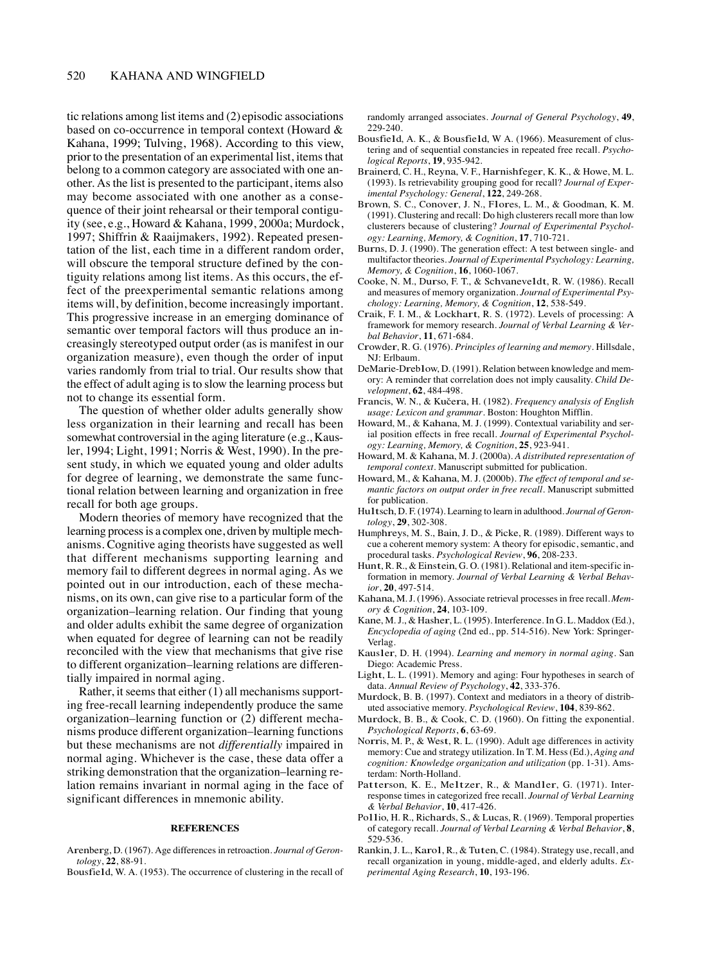## 520 KAHANA AND WINGFIELD

tic relations among list items and (2) episodic associations based on co-occurrence in temporal context (Howard & Kahana, 1999; Tulving, 1968). According to this view, prior to the presentation of an experimental list, items that belong to a common category are associated with one another. As the list is presented to the participant, items also may become associated with one another as a consequence of their joint rehearsal or their temporal contiguity (see, e.g., Howard & Kahana, 1999, 2000a; Murdock, 1997; Shiffrin & Raaijmakers, 1992). Repeated presentation of the list, each time in a different random order, will obscure the temporal structure defined by the contiguity relations among list items. As this occurs, the effect of the preexperimental semantic relations among items will, by definition, become increasingly important. This progressive increase in an emerging dominance of semantic over temporal factors will thus produce an increasingly stereotyped output order (as is manifest in our organization measure), even though the order of input varies randomly from trial to trial. Our results show that the effect of adult aging is to slow the learning process but not to change its essential form.

The question of whether older adults generally show less organization in their learning and recall has been somewhat controversial in the aging literature (e.g., Kausler, 1994; Light, 1991; Norris & West, 1990). In the present study, in which we equated young and older adults for degree of learning, we demonstrate the same functional relation between learning and organization in free recall for both age groups.

Modern theories of memory have recognized that the learning process is a complex one, driven by multiple mechanisms. Cognitive aging theorists have suggested as well that different mechanisms supporting learning and memory fail to different degrees in normal aging. As we pointed out in our introduction, each of these mechanisms, on its own, can give rise to a particular form of the organization–learning relation. Our finding that young and older adults exhibit the same degree of organization when equated for degree of learning can not be readily reconciled with the view that mechanisms that give rise to different organization–learning relations are differentially impaired in normal aging.

Rather, it seems that either (1) all mechanisms supporting free-recall learning independently produce the same organization–learning function or (2) different mechanisms produce different organization–learning functions but these mechanisms are not *differentially* impaired in normal aging. Whichever is the case, these data offer a striking demonstration that the organization–learning relation remains invariant in normal aging in the face of significant differences in mnemonic ability.

#### **REFERENCES**

- Arenberg, D. (1967). Age differences in retroaction. *Journal of Gerontology*, **22**, 88-91.
- Bousfield, W. A. (1953). The occurrence of clustering in the recall of

randomly arranged associates. *Journal of General Psychology*, **49**, 229-240.

- Bousfield, A. K., & Bousfield, W A. (1966). Measurement of clustering and of sequential constancies in repeated free recall. *Psychological Reports*, **19**, 935-942.
- Brainerd, C. H., Reyna, V. F., Harnishfeger, K. K., & Howe, M. L. (1993). Is retrievability grouping good for recall? *Journal of Experimental Psychology: General*, **122**, 249-268.
- Brown, S. C., Conover, J. N., Flores, L. M., & Goodman, K. M. (1991). Clustering and recall: Do high clusterers recall more than low clusterers because of clustering? *Journal of Experimental Psychology: Learning, Memory, & Cognition*, **17**, 710-721.
- Burns, D. J. (1990). The generation effect: A test between single- and multifactor theories. *Journal of Experimental Psychology: Learning, Memory, & Cognition*, **16**, 1060-1067.
- Cooke, N. M., Durso, F. T., & Schvaneveldt, R. W. (1986). Recall and measures of memory organization. *Journal of Experimental Psychology: Learning, Memory, & Cognition*, **12**, 538-549.
- Craik, F. I. M., & Lockhart, R. S. (1972). Levels of processing: A framework for memory research. *Journal of Verbal Learning & Verbal Behavior*, **11**, 671-684.
- Crowder, R. G. (1976). *Principles of learning and memory*. Hillsdale, NJ: Erlbaum.
- DeMarie-Dreblow, D. (1991). Relation between knowledge and memory: A reminder that correlation does not imply causality. *Child Development*, **62**, 484-498.
- Francis, W. N., & Kučera, H. (1982). *Frequency analysis of English usage: Lexicon and grammar*. Boston: Houghton Mifflin.
- Howard, M., & Kahana, M. J. (1999). Contextual variability and serial position effects in free recall. *Journal of Experimental Psychology: Learning, Memory, & Cognition*, **25**, 923-941.
- Howard, M. & Kahana, M. J. (2000a). *A distributed representation of temporal context*. Manuscript submitted for publication.
- Howard, M., & Kahana, M. J. (2000b). *The effect of temporal and semantic factors on output order in free recall*. Manuscript submitted for publication.
- Hultsch, D. F.(1974). Learning to learn in adulthood. *Journal of Gerontology*, **29**, 302-308.
- Humphreys, M. S., Bain, J. D., & Picke, R. (1989). Different ways to cue a coherent memory system: A theory for episodic, semantic, and procedural tasks. *Psychological Review*, **96**, 208-233.
- Hunt, R. R., & Einstein, G. O. (1981). Relational and item-specific information in memory. *Journal of Verbal Learning & Verbal Behavior*, **20**, 497-514.
- Kahana, M.J. (1996). Associate retrieval processes in free recall. *Memory & Cognition*, **24**, 103-109.
- Kane, M.J., & Hasher, L. (1995). Interference. In G. L. Maddox (Ed.), *Encyclopedia of aging* (2nd ed., pp. 514-516). New York: Springer-Verlag.
- Kausler, D. H. (1994). *Learning and memory in normal aging*. San Diego: Academic Press.
- Light, L. L. (1991). Memory and aging: Four hypotheses in search of data. *Annual Review of Psychology*, **42**, 333-376.
- Murdock, B. B. (1997). Context and mediators in a theory of distributed associative memory. *Psychological Review*, **104**, 839-862.
- Murdock, B. B., & Cook, C. D. (1960). On fitting the exponential. *Psychological Reports*, **6**, 63-69.
- Norris, M. P., & West, R. L. (1990). Adult age differences in activity memory: Cue and strategy utilization. In T. M. Hess (Ed.), *Aging and cognition: Knowledge organization and utilization* (pp. 1-31). Amsterdam: North-Holland.
- Patterson, K. E., Meltzer, R., & Mandler, G. (1971). Interresponse times in categorized free recall. *Journal of Verbal Learning & Verbal Behavior*, **10**, 417-426.
- Pollio, H. R., Richards, S., & Lucas, R. (1969). Temporal properties of category recall. *Journal of Verbal Learning & Verbal Behavior*, **8**, 529-536.
- Rankin,J. L., Karol, R., & Tuten, C. (1984). Strategy use, recall, and recall organization in young, middle-aged, and elderly adults. *Experimental Aging Research*, **10**, 193-196.